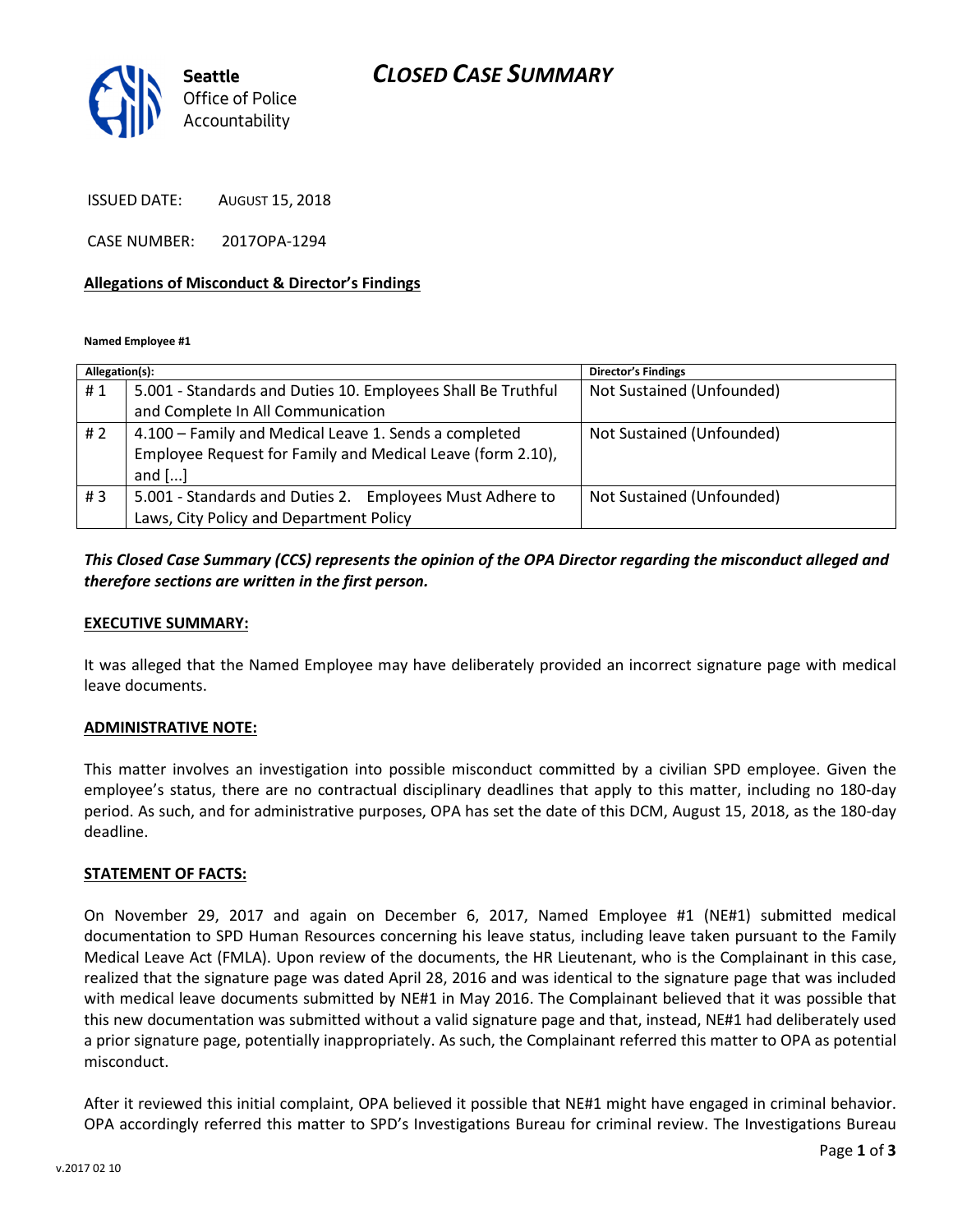## CLOSED CASE SUMMARY



ISSUED DATE: AUGUST 15, 2018

CASE NUMBER: 2017OPA-1294

#### Allegations of Misconduct & Director's Findings

Named Employee #1

| Allegation(s): |                                                              | <b>Director's Findings</b> |
|----------------|--------------------------------------------------------------|----------------------------|
| #1             | 5.001 - Standards and Duties 10. Employees Shall Be Truthful | Not Sustained (Unfounded)  |
|                | and Complete In All Communication                            |                            |
| #2             | 4.100 - Family and Medical Leave 1. Sends a completed        | Not Sustained (Unfounded)  |
|                | Employee Request for Family and Medical Leave (form 2.10),   |                            |
|                | and $[]$                                                     |                            |
| #3             | 5.001 - Standards and Duties 2. Employees Must Adhere to     | Not Sustained (Unfounded)  |
|                | Laws, City Policy and Department Policy                      |                            |

## This Closed Case Summary (CCS) represents the opinion of the OPA Director regarding the misconduct alleged and therefore sections are written in the first person.

#### EXECUTIVE SUMMARY:

It was alleged that the Named Employee may have deliberately provided an incorrect signature page with medical leave documents.

#### ADMINISTRATIVE NOTE:

This matter involves an investigation into possible misconduct committed by a civilian SPD employee. Given the employee's status, there are no contractual disciplinary deadlines that apply to this matter, including no 180-day period. As such, and for administrative purposes, OPA has set the date of this DCM, August 15, 2018, as the 180-day deadline.

#### STATEMENT OF FACTS:

On November 29, 2017 and again on December 6, 2017, Named Employee #1 (NE#1) submitted medical documentation to SPD Human Resources concerning his leave status, including leave taken pursuant to the Family Medical Leave Act (FMLA). Upon review of the documents, the HR Lieutenant, who is the Complainant in this case, realized that the signature page was dated April 28, 2016 and was identical to the signature page that was included with medical leave documents submitted by NE#1 in May 2016. The Complainant believed that it was possible that this new documentation was submitted without a valid signature page and that, instead, NE#1 had deliberately used a prior signature page, potentially inappropriately. As such, the Complainant referred this matter to OPA as potential misconduct.

After it reviewed this initial complaint, OPA believed it possible that NE#1 might have engaged in criminal behavior. OPA accordingly referred this matter to SPD's Investigations Bureau for criminal review. The Investigations Bureau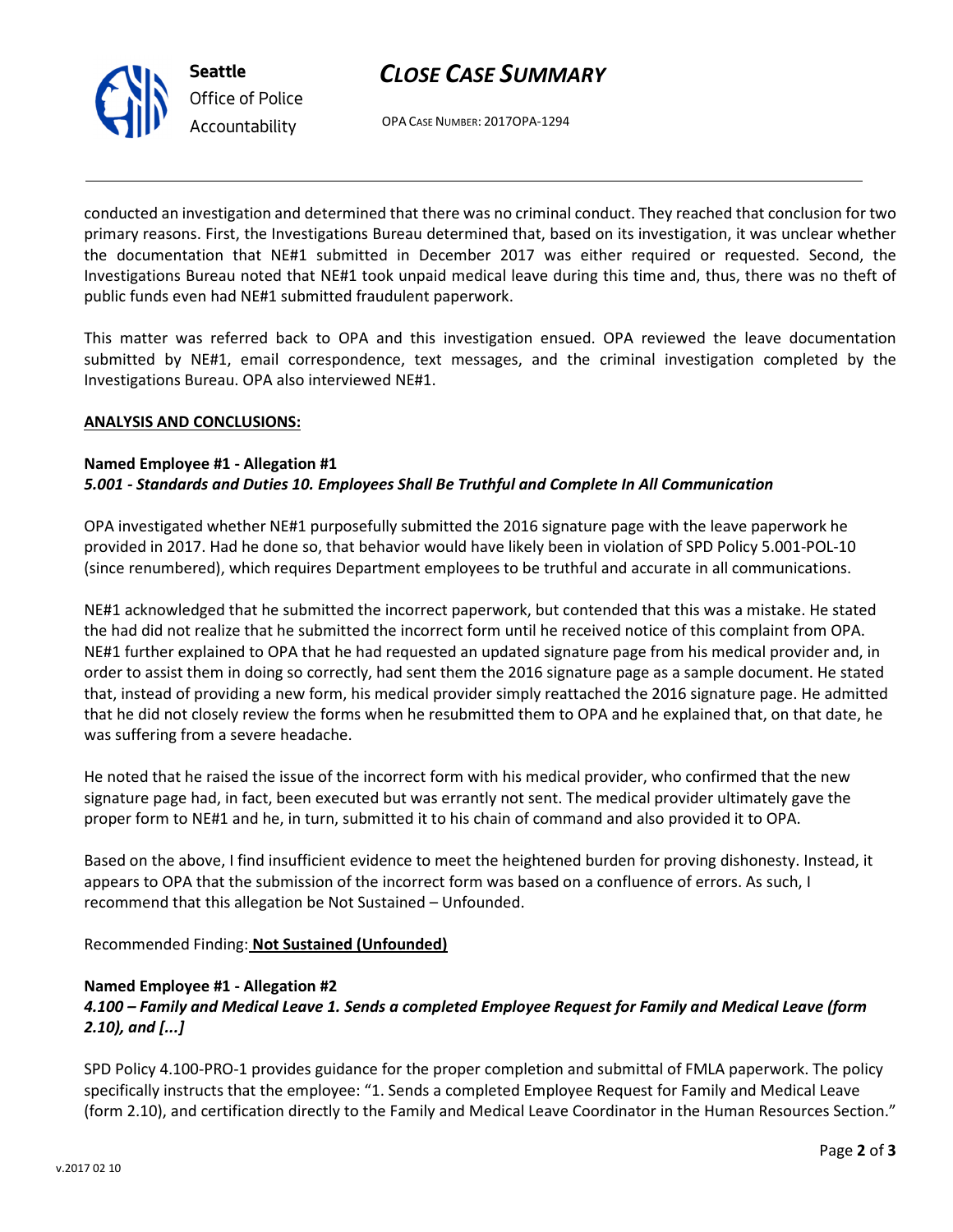## CLOSE CASE SUMMARY



Office of Police Accountability

OPA CASE NUMBER: 2017OPA-1294

conducted an investigation and determined that there was no criminal conduct. They reached that conclusion for two primary reasons. First, the Investigations Bureau determined that, based on its investigation, it was unclear whether the documentation that NE#1 submitted in December 2017 was either required or requested. Second, the Investigations Bureau noted that NE#1 took unpaid medical leave during this time and, thus, there was no theft of public funds even had NE#1 submitted fraudulent paperwork.

This matter was referred back to OPA and this investigation ensued. OPA reviewed the leave documentation submitted by NE#1, email correspondence, text messages, and the criminal investigation completed by the Investigations Bureau. OPA also interviewed NE#1.

### ANALYSIS AND CONCLUSIONS:

### Named Employee #1 - Allegation #1 5.001 - Standards and Duties 10. Employees Shall Be Truthful and Complete In All Communication

OPA investigated whether NE#1 purposefully submitted the 2016 signature page with the leave paperwork he provided in 2017. Had he done so, that behavior would have likely been in violation of SPD Policy 5.001-POL-10 (since renumbered), which requires Department employees to be truthful and accurate in all communications.

NE#1 acknowledged that he submitted the incorrect paperwork, but contended that this was a mistake. He stated the had did not realize that he submitted the incorrect form until he received notice of this complaint from OPA. NE#1 further explained to OPA that he had requested an updated signature page from his medical provider and, in order to assist them in doing so correctly, had sent them the 2016 signature page as a sample document. He stated that, instead of providing a new form, his medical provider simply reattached the 2016 signature page. He admitted that he did not closely review the forms when he resubmitted them to OPA and he explained that, on that date, he was suffering from a severe headache.

He noted that he raised the issue of the incorrect form with his medical provider, who confirmed that the new signature page had, in fact, been executed but was errantly not sent. The medical provider ultimately gave the proper form to NE#1 and he, in turn, submitted it to his chain of command and also provided it to OPA.

Based on the above, I find insufficient evidence to meet the heightened burden for proving dishonesty. Instead, it appears to OPA that the submission of the incorrect form was based on a confluence of errors. As such, I recommend that this allegation be Not Sustained – Unfounded.

Recommended Finding: Not Sustained (Unfounded)

## Named Employee #1 - Allegation #2

## 4.100 – Family and Medical Leave 1. Sends a completed Employee Request for Family and Medical Leave (form 2.10), and [...]

SPD Policy 4.100-PRO-1 provides guidance for the proper completion and submittal of FMLA paperwork. The policy specifically instructs that the employee: "1. Sends a completed Employee Request for Family and Medical Leave (form 2.10), and certification directly to the Family and Medical Leave Coordinator in the Human Resources Section."